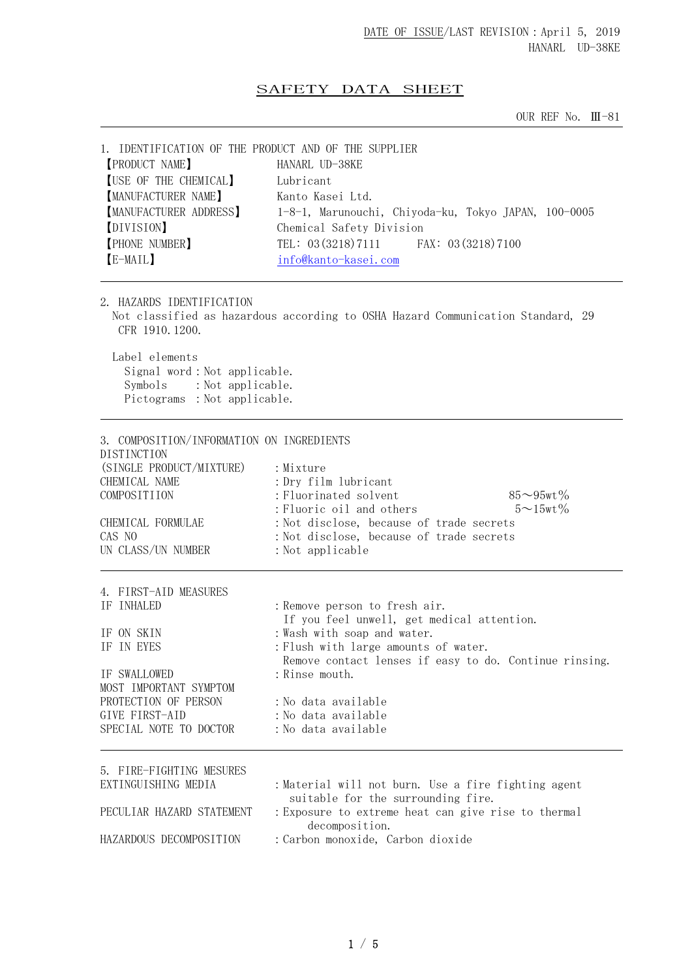## SAFETY DATA SHEET

OUR REF No. Ⅲ-81

| 1. IDENTIFICATION OF THE PRODUCT AND OF THE SUPPLIER<br><b>[PRODUCT NAME]</b><br>[USE OF THE CHEMICAL]<br><b>[MANUFACTURER NAME]</b><br><b>[MANUFACTURER ADDRESS]</b><br>[DIVISION]<br><b>[PHONE NUMBER]</b><br>[E-MAIL] | HANARL UD-38KE<br>Lubricant<br>Kanto Kasei Ltd.<br>1-8-1, Marunouchi, Chiyoda-ku, Tokyo JAPAN, 100-0005<br>Chemical Safety Division<br>TEL: 03 (3218) 7111<br>FAX: 03 (3218) 7100<br>info@kanto-kasei.com                                                                                          |
|--------------------------------------------------------------------------------------------------------------------------------------------------------------------------------------------------------------------------|----------------------------------------------------------------------------------------------------------------------------------------------------------------------------------------------------------------------------------------------------------------------------------------------------|
| 2. HAZARDS IDENTIFICATION<br>CFR 1910, 1200.<br>Label elements<br>Signal word: Not applicable.<br>: Not applicable.<br>Symbols<br>Pictograms : Not applicable.                                                           | Not classified as hazardous according to OSHA Hazard Communication Standard, 29                                                                                                                                                                                                                    |
| 3. COMPOSITION/INFORMATION ON INGREDIENTS<br>DISTINCTION<br>(SINGLE PRODUCT/MIXTURE)<br>CHEMICAL NAME<br>COMPOSITIION<br>CHEMICAL FORMULAE<br>CAS NO<br>UN CLASS/UN NUMBER                                               | : Mixture<br>: Dry film lubricant<br>: Fluorinated solvent<br>$85 - 95$ wt $\%$<br>: Fluoric oil and others<br>$5 \sim 15$ wt $\%$<br>: Not disclose, because of trade secrets<br>: Not disclose, because of trade secrets<br>: Not applicable                                                     |
| 4. FIRST-AID MEASURES<br>IF INHALED<br>IF ON SKIN<br>IF IN EYES<br>IF SWALLOWED<br>MOST IMPORTANT SYMPTOM<br>PROTECTION OF PERSON<br>GIVE FIRST-AID<br>SPECIAL NOTE TO DOCTOR                                            | : Remove person to fresh air.<br>If you feel unwell, get medical attention.<br>: Wash with soap and water.<br>: Flush with large amounts of water.<br>Remove contact lenses if easy to do. Continue rinsing.<br>: Rinse mouth.<br>: No data available<br>: No data available<br>:No data available |
| 5. FIRE-FIGHTING MESURES<br>EXTINGUISHING MEDIA<br>PECULIAR HAZARD STATEMENT<br>HAZARDOUS DECOMPOSITION                                                                                                                  | : Material will not burn. Use a fire fighting agent<br>suitable for the surrounding fire.<br>: Exposure to extreme heat can give rise to thermal<br>decomposition.<br>: Carbon monoxide, Carbon dioxide                                                                                            |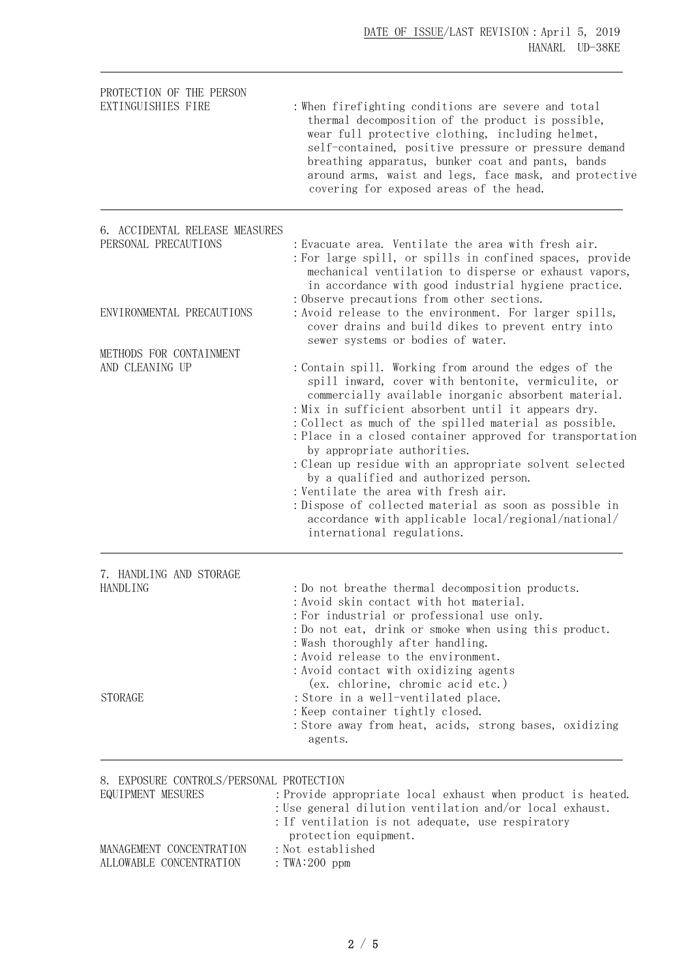| PROTECTION OF THE PERSON<br>EXTINGUISHIES FIRE                | : When firefighting conditions are severe and total<br>thermal decomposition of the product is possible,<br>wear full protective clothing, including helmet,<br>self-contained, positive pressure or pressure demand<br>breathing apparatus, bunker coat and pants, bands<br>around arms, waist and legs, face mask, and protective<br>covering for exposed areas of the head.                                                                                                                                                                                                                                                                                               |
|---------------------------------------------------------------|------------------------------------------------------------------------------------------------------------------------------------------------------------------------------------------------------------------------------------------------------------------------------------------------------------------------------------------------------------------------------------------------------------------------------------------------------------------------------------------------------------------------------------------------------------------------------------------------------------------------------------------------------------------------------|
| 6. ACCIDENTAL RELEASE MEASURES<br>PERSONAL PRECAUTIONS        | : Evacuate area. Ventilate the area with fresh air.<br>: For large spill, or spills in confined spaces, provide<br>mechanical ventilation to disperse or exhaust vapors,<br>in accordance with good industrial hygiene practice.                                                                                                                                                                                                                                                                                                                                                                                                                                             |
| ENVIRONMENTAL PRECAUTIONS                                     | : Observe precautions from other sections.<br>: Avoid release to the environment. For larger spills,<br>cover drains and build dikes to prevent entry into<br>sewer systems or bodies of water.                                                                                                                                                                                                                                                                                                                                                                                                                                                                              |
| METHODS FOR CONTAINMENT<br>AND CLEANING UP                    | : Contain spill. Working from around the edges of the<br>spill inward, cover with bentonite, vermiculite, or<br>commercially available inorganic absorbent material.<br>: Mix in sufficient absorbent until it appears dry.<br>: Collect as much of the spilled material as possible.<br>: Place in a closed container approved for transportation<br>by appropriate authorities.<br>: Clean up residue with an appropriate solvent selected<br>by a qualified and authorized person.<br>: Ventilate the area with fresh air.<br>: Dispose of collected material as soon as possible in<br>accordance with applicable local/regional/national/<br>international regulations. |
| 7. HANDLING AND STORAGE<br><b>HANDLING</b>                    | : Do not breathe thermal decomposition products.<br>: Avoid skin contact with hot material.<br>: For industrial or professional use only.<br>: Do not eat, drink or smoke when using this product.<br>: Wash thoroughly after handling.<br>: Avoid release to the environment.<br>: Avoid contact with oxidizing agents<br>(ex. chlorine, chromic acid etc.)                                                                                                                                                                                                                                                                                                                 |
| <b>STORAGE</b>                                                | : Store in a well-ventilated place.<br>: Keep container tightly closed.<br>: Store away from heat, acids, strong bases, oxidizing<br>agents.                                                                                                                                                                                                                                                                                                                                                                                                                                                                                                                                 |
| 8. EXPOSURE CONTROLS/PERSONAL PROTECTION<br>EQUIPMENT MESURES | : Provide appropriate local exhaust when product is heated.<br>: Use general dilution ventilation and/or local exhaust.<br>: If ventilation is not adequate, use respiratory                                                                                                                                                                                                                                                                                                                                                                                                                                                                                                 |
| MANAGEMENT CONCENTRATION<br>ALLOWABLE CONCENTRATION           | protection equipment.<br>: Not established<br>: TWA: $200$ ppm                                                                                                                                                                                                                                                                                                                                                                                                                                                                                                                                                                                                               |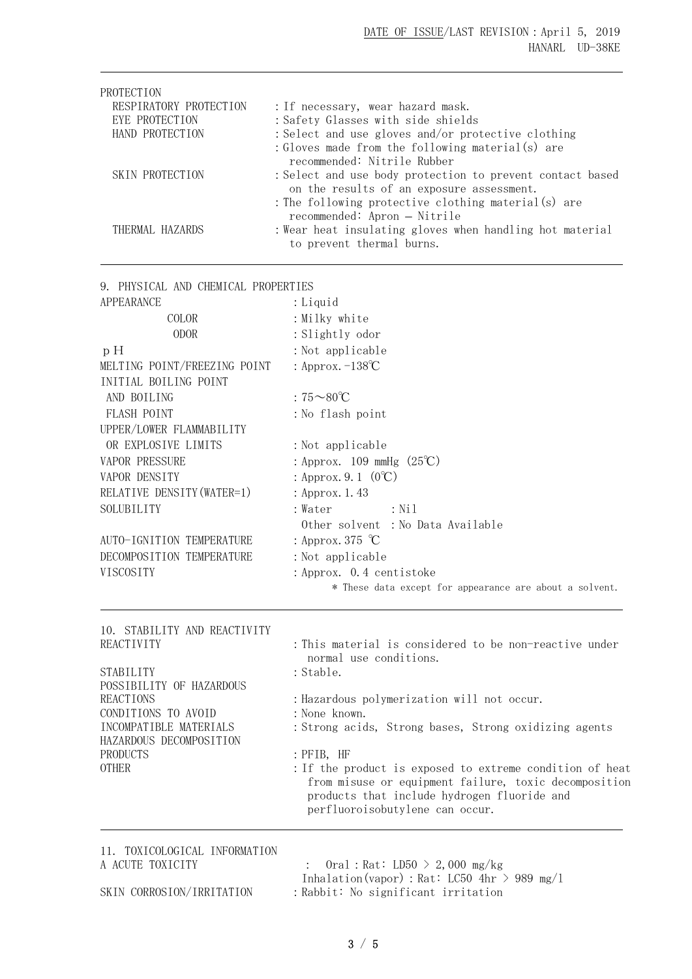| PROTECTION             |                                                                                                        |
|------------------------|--------------------------------------------------------------------------------------------------------|
| RESPIRATORY PROTECTION | : If necessary, wear hazard mask.                                                                      |
| EYE PROTECTION         | : Safety Glasses with side shields                                                                     |
| HAND PROTECTION        | : Select and use gloves and/or protective clothing                                                     |
|                        | : Gloves made from the following material(s) are                                                       |
|                        | recommended: Nitrile Rubber                                                                            |
| SKIN PROTECTION        | : Select and use body protection to prevent contact based<br>on the results of an exposure assessment. |
|                        | : The following protective clothing material(s) are                                                    |
|                        | recommended: Apron - Nitrile                                                                           |
| THERMAL HAZARDS        | : Wear heat insulating gloves when handling hot material                                               |
|                        | to prevent thermal burns.                                                                              |

9. PHYSICAL AND CHEMICAL PROPERTIES

| <b>APPEARANCE</b>                             | : Liquid                                                                                                                                                                                            |  |  |  |
|-----------------------------------------------|-----------------------------------------------------------------------------------------------------------------------------------------------------------------------------------------------------|--|--|--|
| COLOR                                         | : Milky white                                                                                                                                                                                       |  |  |  |
| <b>ODOR</b>                                   | : Slightly odor                                                                                                                                                                                     |  |  |  |
| p H                                           | : Not applicable                                                                                                                                                                                    |  |  |  |
| MELTING POINT/FREEZING POINT                  | : Approx. $-138^{\circ}C$                                                                                                                                                                           |  |  |  |
| INITIAL BOILING POINT                         |                                                                                                                                                                                                     |  |  |  |
| AND BOILING                                   | : $75 \sim 80^{\circ}C$                                                                                                                                                                             |  |  |  |
| FLASH POINT                                   | : No flash point                                                                                                                                                                                    |  |  |  |
| UPPER/LOWER FLAMMABILITY                      |                                                                                                                                                                                                     |  |  |  |
| OR EXPLOSIVE LIMITS                           | : Not applicable                                                                                                                                                                                    |  |  |  |
| <b>VAPOR PRESSURE</b>                         | : Approx. $109 \text{ mmHg} (25^{\circ}\text{C})$                                                                                                                                                   |  |  |  |
| VAPOR DENSITY                                 | : Approx. 9. 1 $(0^{\circ}C)$                                                                                                                                                                       |  |  |  |
| RELATIVE DENSITY (WATER=1)                    | : Approx. 1.43                                                                                                                                                                                      |  |  |  |
| SOLUBILITY                                    | : Water<br>$:$ Nil                                                                                                                                                                                  |  |  |  |
|                                               | Other solvent: No Data Available                                                                                                                                                                    |  |  |  |
| AUTO-IGNITION TEMPERATURE                     | : Approx. 375 $\degree$ C                                                                                                                                                                           |  |  |  |
| DECOMPOSITION TEMPERATURE                     | : Not applicable                                                                                                                                                                                    |  |  |  |
| VISCOSITY                                     | : Approx. 0.4 centistoke                                                                                                                                                                            |  |  |  |
|                                               | * These data except for appearance are about a solvent.                                                                                                                                             |  |  |  |
| 10. STABILITY AND REACTIVITY                  |                                                                                                                                                                                                     |  |  |  |
| REACTIVITY                                    | : This material is considered to be non-reactive under<br>normal use conditions.                                                                                                                    |  |  |  |
| <b>STABILITY</b>                              | : Stable.                                                                                                                                                                                           |  |  |  |
| POSSIBILITY OF HAZARDOUS                      |                                                                                                                                                                                                     |  |  |  |
| <b>REACTIONS</b>                              | : Hazardous polymerization will not occur.                                                                                                                                                          |  |  |  |
| CONDITIONS TO AVOID<br>INCOMPATIBLE MATERIALS | : None known.<br>: Strong acids, Strong bases, Strong oxidizing agents                                                                                                                              |  |  |  |
| HAZARDOUS DECOMPOSITION                       |                                                                                                                                                                                                     |  |  |  |
| <b>PRODUCTS</b>                               | : PFIB, HF                                                                                                                                                                                          |  |  |  |
| <b>OTHER</b>                                  | : If the product is exposed to extreme condition of heat<br>from misuse or equipment failure, toxic decomposition<br>products that include hydrogen fluoride and<br>perfluoroisobutylene can occur. |  |  |  |
|                                               |                                                                                                                                                                                                     |  |  |  |

11. TOXICOLOGICAL INFORMATION

A ACUTE TOXICITY :  $0 \text{ral} : \text{Rat}: \text{LD50} > 2,000 \text{ mg/kg}$ 

Inhalation(vapor): Rat: LC50 4hr > 989 mg/l

SKIN CORROSION/IRRITATION : Rabbit: No significant irritation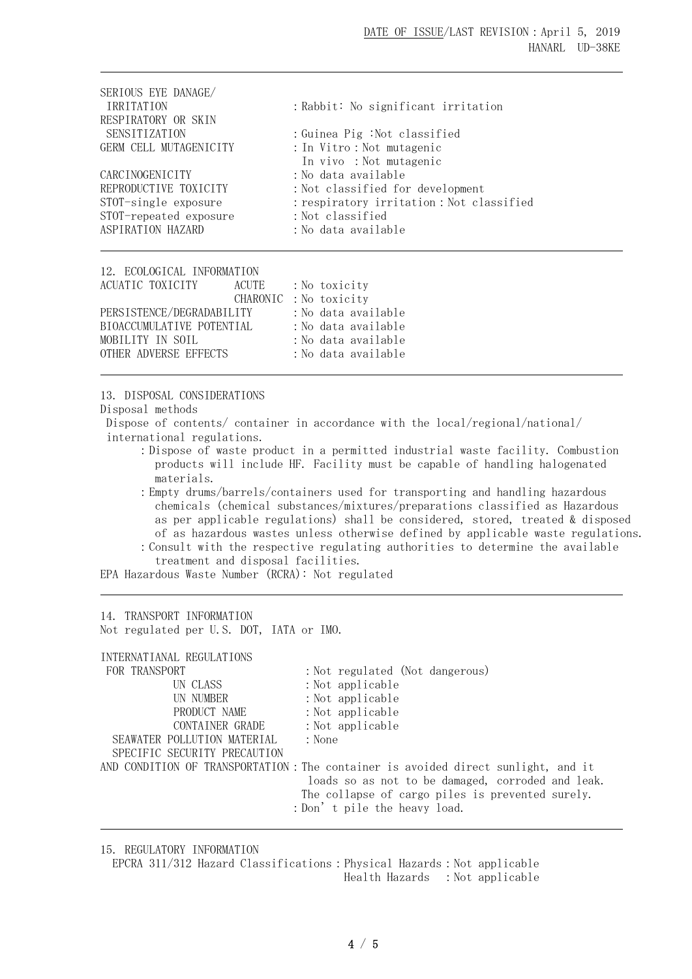| SERIOUS EYE DANAGE/    |                                           |
|------------------------|-------------------------------------------|
| <b>IRRITATION</b>      | : Rabbit: No significant irritation       |
| RESPIRATORY OR SKIN    |                                           |
| <b>SENSITIZATION</b>   | :Guinea Pig :Not classified               |
| GERM CELL MUTAGENICITY | : In Vitro : Not mutagenic                |
|                        | In vivo: Not mutagenic                    |
| CARCINOGENICITY        | :No data available                        |
| REPRODUCTIVE TOXICITY  | : Not classified for development          |
| STOT-single exposure   | : respiratory irritation : Not classified |
| STOT-repeated exposure | : Not classified                          |
| ASPIRATION HAZARD      | :No data available                        |
|                        |                                           |

| 12. ECOLOGICAL INFORMATION |                       |  |                     |
|----------------------------|-----------------------|--|---------------------|
| ACUATIC TOXICITY           | ACUTE                 |  | : No toxicity       |
|                            | CHARONIC: No toxicity |  |                     |
| PERSISTENCE/DEGRADABILITY  |                       |  | :No data available  |
| BIOACCUMULATIVE POTENTIAL  |                       |  | : No data available |
| MOBILITY IN SOIL           |                       |  | : No data available |
| OTHER ADVERSE EFFECTS      |                       |  | : No data available |

13. DISPOSAL CONSIDERATIONS

Disposal methods

Dispose of contents/ container in accordance with the local/regional/national/ international regulations.

:Dispose of waste product in a permitted industrial waste facility. Combustion products will include HF. Facility must be capable of handling halogenated materials.

:Empty drums/barrels/containers used for transporting and handling hazardous chemicals (chemical substances/mixtures/preparations classified as Hazardous as per applicable regulations) shall be considered, stored, treated & disposed of as hazardous wastes unless otherwise defined by applicable waste regulations. :Consult with the respective regulating authorities to determine the available treatment and disposal facilities.

EPA Hazardous Waste Number (RCRA): Not regulated

14. TRANSPORT INFORMATION Not regulated per U.S. DOT, IATA or IMO.

| INTERNATIANAL REGULATIONS    |                                                                                   |
|------------------------------|-----------------------------------------------------------------------------------|
| FOR TRANSPORT                | : Not regulated (Not dangerous)                                                   |
| UN CLASS                     | $:$ Not applicable                                                                |
| UN NUMBER                    | $:$ Not applicable                                                                |
| PRODUCT NAME                 | $:$ Not applicable                                                                |
| CONTAINER GRADE              | $:$ Not applicable                                                                |
| SEAWATER POLLUTION MATERIAL  | : None                                                                            |
| SPECIFIC SECURITY PRECAUTION |                                                                                   |
|                              | AND CONDITION OF TRANSPORTATION: The container is avoided direct sunlight, and it |
|                              | loads so as not to be damaged, corroded and leak.                                 |
|                              | The collapse of cargo piles is prevented surely.                                  |
|                              | : Don't pile the heavy load.                                                      |
|                              |                                                                                   |

15. REGULATORY INFORMATION

EPCRA 311/312 Hazard Classifications: Physical Hazards: Not applicable Health Hazards : Not applicable